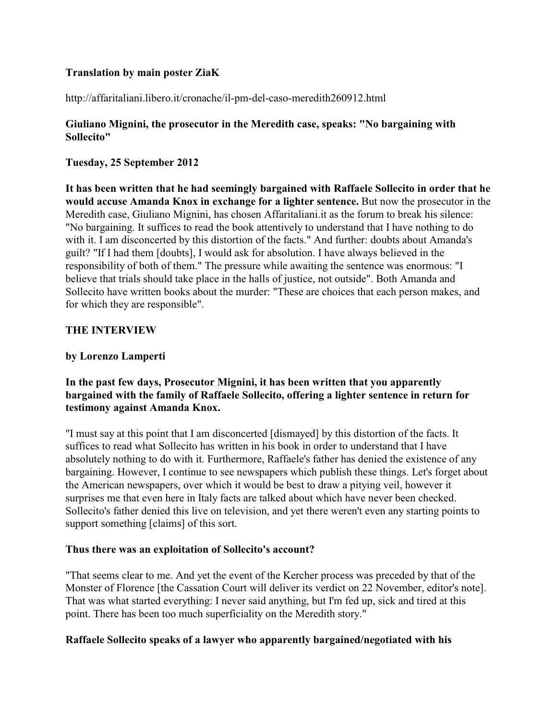## **Translation by main poster ZiaK**

http://affaritaliani.libero.it/cronache/il-pm-del-caso-meredith260912.html

## **Giuliano Mignini, the prosecutor in the Meredith case, speaks: "No bargaining with Sollecito"**

## **Tuesday, 25 September 2012**

**It has been written that he had seemingly bargained with Raffaele Sollecito in order that he would accuse Amanda Knox in exchange for a lighter sentence.** But now the prosecutor in the Meredith case, Giuliano Mignini, has chosen Affaritaliani.it as the forum to break his silence: "No bargaining. It suffices to read the book attentively to understand that I have nothing to do with it. I am disconcerted by this distortion of the facts." And further: doubts about Amanda's guilt? "If I had them [doubts], I would ask for absolution. I have always believed in the responsibility of both of them." The pressure while awaiting the sentence was enormous: "I believe that trials should take place in the halls of justice, not outside". Both Amanda and Sollecito have written books about the murder: "These are choices that each person makes, and for which they are responsible".

#### **THE INTERVIEW**

### **by Lorenzo Lamperti**

# **In the past few days, Prosecutor Mignini, it has been written that you apparently bargained with the family of Raffaele Sollecito, offering a lighter sentence in return for testimony against Amanda Knox.**

"I must say at this point that I am disconcerted [dismayed] by this distortion of the facts. It suffices to read what Sollecito has written in his book in order to understand that I have absolutely nothing to do with it. Furthermore, Raffaele's father has denied the existence of any bargaining. However, I continue to see newspapers which publish these things. Let's forget about the American newspapers, over which it would be best to draw a pitying veil, however it surprises me that even here in Italy facts are talked about which have never been checked. Sollecito's father denied this live on television, and yet there weren't even any starting points to support something [claims] of this sort.

#### **Thus there was an exploitation of Sollecito's account?**

"That seems clear to me. And yet the event of the Kercher process was preceded by that of the Monster of Florence [the Cassation Court will deliver its verdict on 22 November, editor's note]. That was what started everything: I never said anything, but I'm fed up, sick and tired at this point. There has been too much superficiality on the Meredith story."

## **Raffaele Sollecito speaks of a lawyer who apparently bargained/negotiated with his**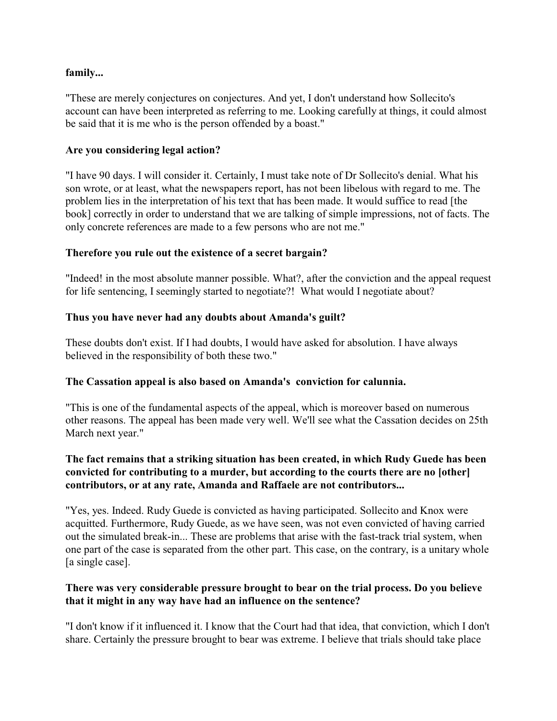### **family...**

"These are merely conjectures on conjectures. And yet, I don't understand how Sollecito's account can have been interpreted as referring to me. Looking carefully at things, it could almost be said that it is me who is the person offended by a boast."

### **Are you considering legal action?**

"I have 90 days. I will consider it. Certainly, I must take note of Dr Sollecito's denial. What his son wrote, or at least, what the newspapers report, has not been libelous with regard to me. The problem lies in the interpretation of his text that has been made. It would suffice to read [the book] correctly in order to understand that we are talking of simple impressions, not of facts. The only concrete references are made to a few persons who are not me."

#### **Therefore you rule out the existence of a secret bargain?**

"Indeed! in the most absolute manner possible. What?, after the conviction and the appeal request for life sentencing, I seemingly started to negotiate?! What would I negotiate about?

#### **Thus you have never had any doubts about Amanda's guilt?**

These doubts don't exist. If I had doubts, I would have asked for absolution. I have always believed in the responsibility of both these two."

## **The Cassation appeal is also based on Amanda's conviction for calunnia.**

"This is one of the fundamental aspects of the appeal, which is moreover based on numerous other reasons. The appeal has been made very well. We'll see what the Cassation decides on 25th March next year."

## **The fact remains that a striking situation has been created, in which Rudy Guede has been convicted for contributing to a murder, but according to the courts there are no [other] contributors, or at any rate, Amanda and Raffaele are not contributors...**

"Yes, yes. Indeed. Rudy Guede is convicted as having participated. Sollecito and Knox were acquitted. Furthermore, Rudy Guede, as we have seen, was not even convicted of having carried out the simulated break-in... These are problems that arise with the fast-track trial system, when one part of the case is separated from the other part. This case, on the contrary, is a unitary whole [a single case].

#### **There was very considerable pressure brought to bear on the trial process. Do you believe that it might in any way have had an influence on the sentence?**

"I don't know if it influenced it. I know that the Court had that idea, that conviction, which I don't share. Certainly the pressure brought to bear was extreme. I believe that trials should take place